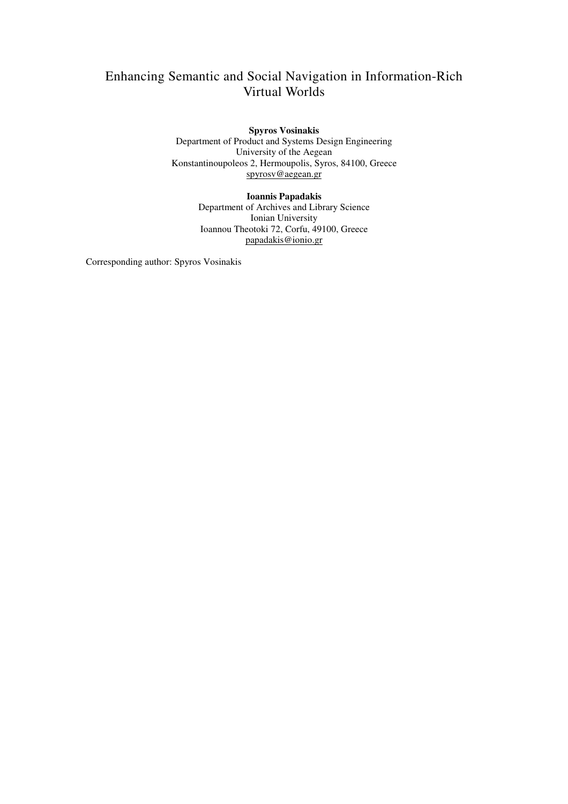# Enhancing Semantic and Social Navigation in Information-Rich Virtual Worlds

**Spyros Vosinakis**  Department of Product and Systems Design Engineering University of the Aegean Konstantinoupoleos 2, Hermoupolis, Syros, 84100, Greece spyrosv@aegean.gr

> **Ioannis Papadakis**  Department of Archives and Library Science Ionian University Ioannou Theotoki 72, Corfu, 49100, Greece papadakis@ionio.gr

Corresponding author: Spyros Vosinakis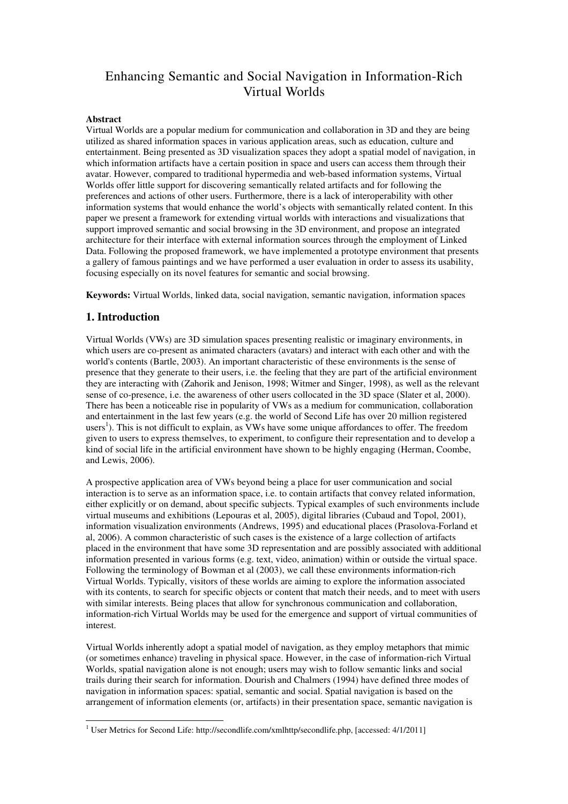# Enhancing Semantic and Social Navigation in Information-Rich Virtual Worlds

## **Abstract**

Virtual Worlds are a popular medium for communication and collaboration in 3D and they are being utilized as shared information spaces in various application areas, such as education, culture and entertainment. Being presented as 3D visualization spaces they adopt a spatial model of navigation, in which information artifacts have a certain position in space and users can access them through their avatar. However, compared to traditional hypermedia and web-based information systems, Virtual Worlds offer little support for discovering semantically related artifacts and for following the preferences and actions of other users. Furthermore, there is a lack of interoperability with other information systems that would enhance the world's objects with semantically related content. In this paper we present a framework for extending virtual worlds with interactions and visualizations that support improved semantic and social browsing in the 3D environment, and propose an integrated architecture for their interface with external information sources through the employment of Linked Data. Following the proposed framework, we have implemented a prototype environment that presents a gallery of famous paintings and we have performed a user evaluation in order to assess its usability, focusing especially on its novel features for semantic and social browsing.

**Keywords:** Virtual Worlds, linked data, social navigation, semantic navigation, information spaces

## **1. Introduction**

Virtual Worlds (VWs) are 3D simulation spaces presenting realistic or imaginary environments, in which users are co-present as animated characters (avatars) and interact with each other and with the world's contents (Bartle, 2003). An important characteristic of these environments is the sense of presence that they generate to their users, i.e. the feeling that they are part of the artificial environment they are interacting with (Zahorik and Jenison, 1998; Witmer and Singer, 1998), as well as the relevant sense of co-presence, i.e. the awareness of other users collocated in the 3D space (Slater et al, 2000). There has been a noticeable rise in popularity of VWs as a medium for communication, collaboration and entertainment in the last few years (e.g. the world of Second Life has over 20 million registered users<sup>1</sup>). This is not difficult to explain, as VWs have some unique affordances to offer. The freedom given to users to express themselves, to experiment, to configure their representation and to develop a kind of social life in the artificial environment have shown to be highly engaging (Herman, Coombe, and Lewis, 2006).

A prospective application area of VWs beyond being a place for user communication and social interaction is to serve as an information space, i.e. to contain artifacts that convey related information, either explicitly or on demand, about specific subjects. Typical examples of such environments include virtual museums and exhibitions (Lepouras et al, 2005), digital libraries (Cubaud and Topol, 2001), information visualization environments (Andrews, 1995) and educational places (Prasolova-Forland et al, 2006). A common characteristic of such cases is the existence of a large collection of artifacts placed in the environment that have some 3D representation and are possibly associated with additional information presented in various forms (e.g. text, video, animation) within or outside the virtual space. Following the terminology of Bowman et al (2003), we call these environments information-rich Virtual Worlds. Typically, visitors of these worlds are aiming to explore the information associated with its contents, to search for specific objects or content that match their needs, and to meet with users with similar interests. Being places that allow for synchronous communication and collaboration, information-rich Virtual Worlds may be used for the emergence and support of virtual communities of interest.

Virtual Worlds inherently adopt a spatial model of navigation, as they employ metaphors that mimic (or sometimes enhance) traveling in physical space. However, in the case of information-rich Virtual Worlds, spatial navigation alone is not enough; users may wish to follow semantic links and social trails during their search for information. Dourish and Chalmers (1994) have defined three modes of navigation in information spaces: spatial, semantic and social. Spatial navigation is based on the arrangement of information elements (or, artifacts) in their presentation space, semantic navigation is

 1 User Metrics for Second Life: http://secondlife.com/xmlhttp/secondlife.php, [accessed: 4/1/2011]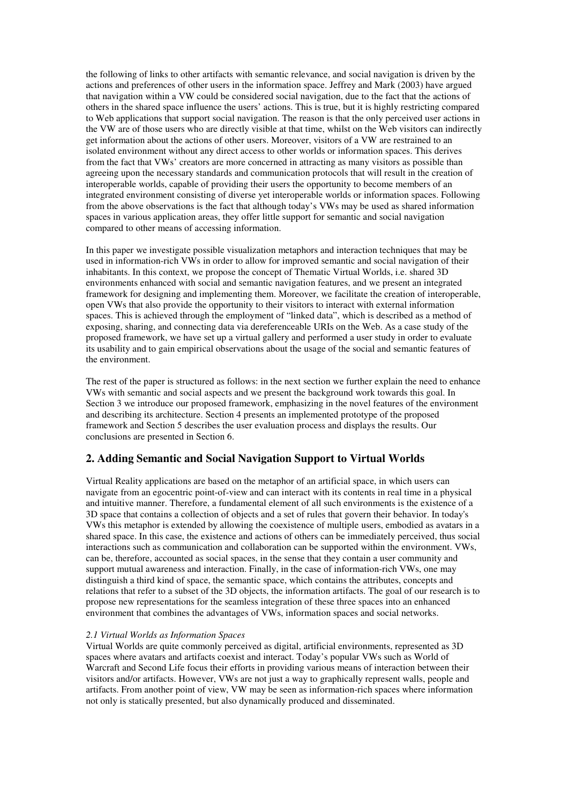the following of links to other artifacts with semantic relevance, and social navigation is driven by the actions and preferences of other users in the information space. Jeffrey and Mark (2003) have argued that navigation within a VW could be considered social navigation, due to the fact that the actions of others in the shared space influence the users' actions. This is true, but it is highly restricting compared to Web applications that support social navigation. The reason is that the only perceived user actions in the VW are of those users who are directly visible at that time, whilst on the Web visitors can indirectly get information about the actions of other users. Moreover, visitors of a VW are restrained to an isolated environment without any direct access to other worlds or information spaces. This derives from the fact that VWs' creators are more concerned in attracting as many visitors as possible than agreeing upon the necessary standards and communication protocols that will result in the creation of interoperable worlds, capable of providing their users the opportunity to become members of an integrated environment consisting of diverse yet interoperable worlds or information spaces. Following from the above observations is the fact that although today's VWs may be used as shared information spaces in various application areas, they offer little support for semantic and social navigation compared to other means of accessing information.

In this paper we investigate possible visualization metaphors and interaction techniques that may be used in information-rich VWs in order to allow for improved semantic and social navigation of their inhabitants. In this context, we propose the concept of Thematic Virtual Worlds, i.e. shared 3D environments enhanced with social and semantic navigation features, and we present an integrated framework for designing and implementing them. Moreover, we facilitate the creation of interoperable, open VWs that also provide the opportunity to their visitors to interact with external information spaces. This is achieved through the employment of "linked data", which is described as a method of exposing, sharing, and connecting data via dereferenceable URIs on the Web. As a case study of the proposed framework, we have set up a virtual gallery and performed a user study in order to evaluate its usability and to gain empirical observations about the usage of the social and semantic features of the environment.

The rest of the paper is structured as follows: in the next section we further explain the need to enhance VWs with semantic and social aspects and we present the background work towards this goal. In Section 3 we introduce our proposed framework, emphasizing in the novel features of the environment and describing its architecture. Section 4 presents an implemented prototype of the proposed framework and Section 5 describes the user evaluation process and displays the results. Our conclusions are presented in Section 6.

## **2. Adding Semantic and Social Navigation Support to Virtual Worlds**

Virtual Reality applications are based on the metaphor of an artificial space, in which users can navigate from an egocentric point-of-view and can interact with its contents in real time in a physical and intuitive manner. Therefore, a fundamental element of all such environments is the existence of a 3D space that contains a collection of objects and a set of rules that govern their behavior. In today's VWs this metaphor is extended by allowing the coexistence of multiple users, embodied as avatars in a shared space. In this case, the existence and actions of others can be immediately perceived, thus social interactions such as communication and collaboration can be supported within the environment. VWs, can be, therefore, accounted as social spaces, in the sense that they contain a user community and support mutual awareness and interaction. Finally, in the case of information-rich VWs, one may distinguish a third kind of space, the semantic space, which contains the attributes, concepts and relations that refer to a subset of the 3D objects, the information artifacts. The goal of our research is to propose new representations for the seamless integration of these three spaces into an enhanced environment that combines the advantages of VWs, information spaces and social networks.

### *2.1 Virtual Worlds as Information Spaces*

Virtual Worlds are quite commonly perceived as digital, artificial environments, represented as 3D spaces where avatars and artifacts coexist and interact. Today's popular VWs such as World of Warcraft and Second Life focus their efforts in providing various means of interaction between their visitors and/or artifacts. However, VWs are not just a way to graphically represent walls, people and artifacts. From another point of view, VW may be seen as information-rich spaces where information not only is statically presented, but also dynamically produced and disseminated.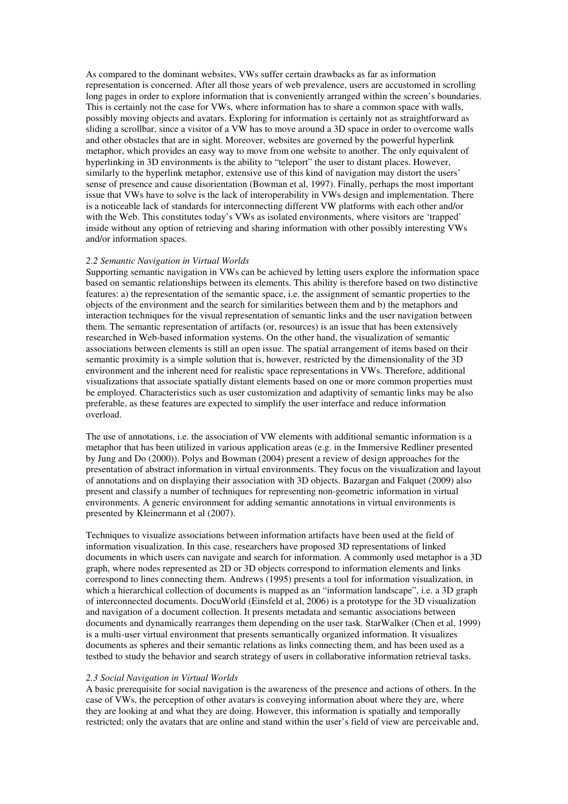As compared to the dominant websites, VWs suffer certain drawbacks as far as information representation is concerned. After all those years of web prevalence, users are accustomed in scrolling long pages in order to explore information that is conveniently arranged within the screen's boundaries. This is certainly not the case for VWs, where information has to share a common space with walls, possibly moving objects and avatars. Exploring for information is certainly not as straightforward as sliding a scrollbar, since a visitor of a VW has to move around a 3D space in order to overcome walls and other obstacles that are in sight. Moreover, websites are governed by the powerful hyperlink metaphor, which provides an easy way to move from one website to another. The only equivalent of hyperlinking in 3D environments is the ability to "teleport" the user to distant places. However, similarly to the hyperlink metaphor, extensive use of this kind of navigation may distort the users' sense of presence and cause disorientation (Bowman et al, 1997). Finally, perhaps the most important issue that VWs have to solve is the lack of interoperability in VWs design and implementation. There is a noticeable lack of standards for interconnecting different VW platforms with each other and/or with the Web. This constitutes today's VWs as isolated environments, where visitors are 'trapped' inside without any option of retrieving and sharing information with other possibly interesting VWs and/or information spaces.

### *2.2 Semantic Navigation in Virtual Worlds*

Supporting semantic navigation in VWs can be achieved by letting users explore the information space based on semantic relationships between its elements. This ability is therefore based on two distinctive features: a) the representation of the semantic space, i.e. the assignment of semantic properties to the objects of the environment and the search for similarities between them and b) the metaphors and interaction techniques for the visual representation of semantic links and the user navigation between them. The semantic representation of artifacts (or, resources) is an issue that has been extensively researched in Web-based information systems. On the other hand, the visualization of semantic associations between elements is still an open issue. The spatial arrangement of items based on their semantic proximity is a simple solution that is, however, restricted by the dimensionality of the 3D environment and the inherent need for realistic space representations in VWs. Therefore, additional visualizations that associate spatially distant elements based on one or more common properties must be employed. Characteristics such as user customization and adaptivity of semantic links may be also preferable, as these features are expected to simplify the user interface and reduce information overload.

The use of annotations, i.e. the association of VW elements with additional semantic information is a metaphor that has been utilized in various application areas (e.g. in the Immersive Redliner presented by Jung and Do (2000)). Polys and Bowman (2004) present a review of design approaches for the presentation of abstract information in virtual environments. They focus on the visualization and layout of annotations and on displaying their association with 3D objects. Bazargan and Falquet (2009) also present and classify a number of techniques for representing non-geometric information in virtual environments. A generic environment for adding semantic annotations in virtual environments is presented by Kleinermann et al (2007).

Techniques to visualize associations between information artifacts have been used at the field of information visualization. In this case, researchers have proposed 3D representations of linked documents in which users can navigate and search for information. A commonly used metaphor is a 3D graph, where nodes represented as 2D or 3D objects correspond to information elements and links correspond to lines connecting them. Andrews (1995) presents a tool for information visualization, in which a hierarchical collection of documents is mapped as an "information landscape", i.e. a 3D graph of interconnected documents. DocuWorld (Einsfeld et al, 2006) is a prototype for the 3D visualization and navigation of a document collection. It presents metadata and semantic associations between documents and dynamically rearranges them depending on the user task. StarWalker (Chen et al, 1999) is a multi-user virtual environment that presents semantically organized information. It visualizes documents as spheres and their semantic relations as links connecting them, and has been used as a testbed to study the behavior and search strategy of users in collaborative information retrieval tasks.

#### *2.3 Social Navigation in Virtual Worlds*

A basic prerequisite for social navigation is the awareness of the presence and actions of others. In the case of VWs, the perception of other avatars is conveying information about where they are, where they are looking at and what they are doing. However, this information is spatially and temporally restricted; only the avatars that are online and stand within the user's field of view are perceivable and,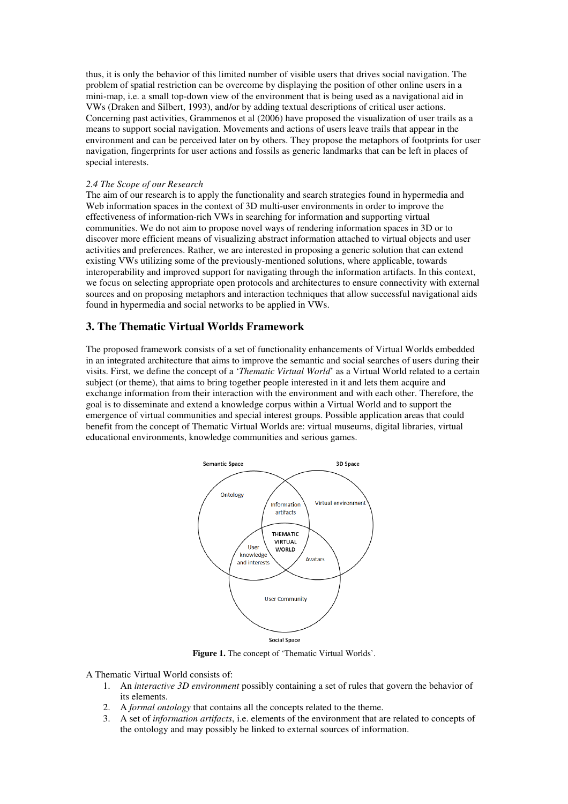thus, it is only the behavior of this limited number of visible users that drives social navigation. The problem of spatial restriction can be overcome by displaying the position of other online users in a mini-map, i.e. a small top-down view of the environment that is being used as a navigational aid in VWs (Draken and Silbert, 1993), and/or by adding textual descriptions of critical user actions. Concerning past activities, Grammenos et al (2006) have proposed the visualization of user trails as a means to support social navigation. Movements and actions of users leave trails that appear in the environment and can be perceived later on by others. They propose the metaphors of footprints for user navigation, fingerprints for user actions and fossils as generic landmarks that can be left in places of special interests.

## *2.4 The Scope of our Research*

The aim of our research is to apply the functionality and search strategies found in hypermedia and Web information spaces in the context of 3D multi-user environments in order to improve the effectiveness of information-rich VWs in searching for information and supporting virtual communities. We do not aim to propose novel ways of rendering information spaces in 3D or to discover more efficient means of visualizing abstract information attached to virtual objects and user activities and preferences. Rather, we are interested in proposing a generic solution that can extend existing VWs utilizing some of the previously-mentioned solutions, where applicable, towards interoperability and improved support for navigating through the information artifacts. In this context, we focus on selecting appropriate open protocols and architectures to ensure connectivity with external sources and on proposing metaphors and interaction techniques that allow successful navigational aids found in hypermedia and social networks to be applied in VWs.

## **3. The Thematic Virtual Worlds Framework**

The proposed framework consists of a set of functionality enhancements of Virtual Worlds embedded in an integrated architecture that aims to improve the semantic and social searches of users during their visits. First, we define the concept of a '*Thematic Virtual World*' as a Virtual World related to a certain subject (or theme), that aims to bring together people interested in it and lets them acquire and exchange information from their interaction with the environment and with each other. Therefore, the goal is to disseminate and extend a knowledge corpus within a Virtual World and to support the emergence of virtual communities and special interest groups. Possible application areas that could benefit from the concept of Thematic Virtual Worlds are: virtual museums, digital libraries, virtual educational environments, knowledge communities and serious games.



**Figure 1.** The concept of 'Thematic Virtual Worlds'.

A Thematic Virtual World consists of:

- 1. An *interactive 3D environment* possibly containing a set of rules that govern the behavior of its elements.
- 2. A *formal ontology* that contains all the concepts related to the theme.
- 3. A set of *information artifacts*, i.e. elements of the environment that are related to concepts of the ontology and may possibly be linked to external sources of information.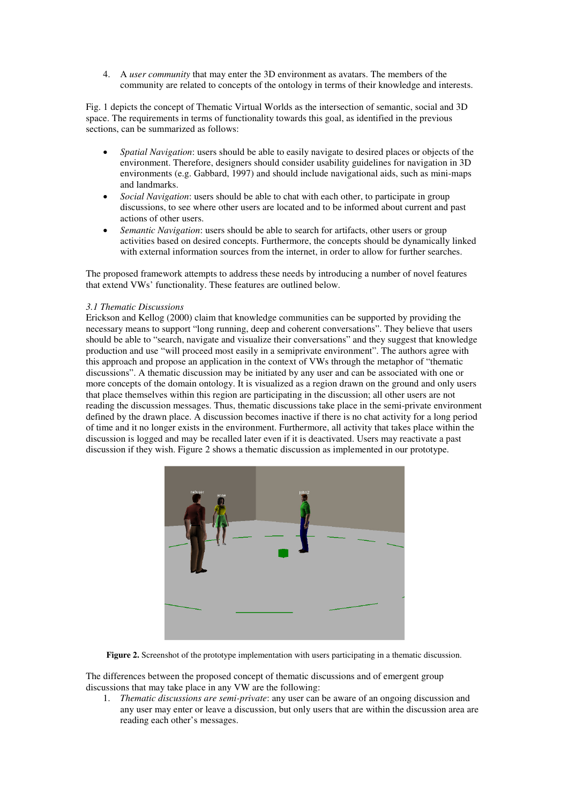4. A *user community* that may enter the 3D environment as avatars. The members of the community are related to concepts of the ontology in terms of their knowledge and interests.

Fig. 1 depicts the concept of Thematic Virtual Worlds as the intersection of semantic, social and 3D space. The requirements in terms of functionality towards this goal, as identified in the previous sections, can be summarized as follows:

- *Spatial Navigation*: users should be able to easily navigate to desired places or objects of the environment. Therefore, designers should consider usability guidelines for navigation in 3D environments (e.g. Gabbard, 1997) and should include navigational aids, such as mini-maps and landmarks.
- *Social Navigation*: users should be able to chat with each other, to participate in group discussions, to see where other users are located and to be informed about current and past actions of other users.
- *Semantic Navigation*: users should be able to search for artifacts, other users or group activities based on desired concepts. Furthermore, the concepts should be dynamically linked with external information sources from the internet, in order to allow for further searches.

The proposed framework attempts to address these needs by introducing a number of novel features that extend VWs' functionality. These features are outlined below.

## *3.1 Thematic Discussions*

Erickson and Kellog (2000) claim that knowledge communities can be supported by providing the necessary means to support "long running, deep and coherent conversations". They believe that users should be able to "search, navigate and visualize their conversations" and they suggest that knowledge production and use "will proceed most easily in a semiprivate environment". The authors agree with this approach and propose an application in the context of VWs through the metaphor of "thematic discussions". A thematic discussion may be initiated by any user and can be associated with one or more concepts of the domain ontology. It is visualized as a region drawn on the ground and only users that place themselves within this region are participating in the discussion; all other users are not reading the discussion messages. Thus, thematic discussions take place in the semi-private environment defined by the drawn place. A discussion becomes inactive if there is no chat activity for a long period of time and it no longer exists in the environment. Furthermore, all activity that takes place within the discussion is logged and may be recalled later even if it is deactivated. Users may reactivate a past discussion if they wish. Figure 2 shows a thematic discussion as implemented in our prototype.



**Figure 2.** Screenshot of the prototype implementation with users participating in a thematic discussion.

The differences between the proposed concept of thematic discussions and of emergent group discussions that may take place in any VW are the following:

1. *Thematic discussions are semi-private*: any user can be aware of an ongoing discussion and any user may enter or leave a discussion, but only users that are within the discussion area are reading each other's messages.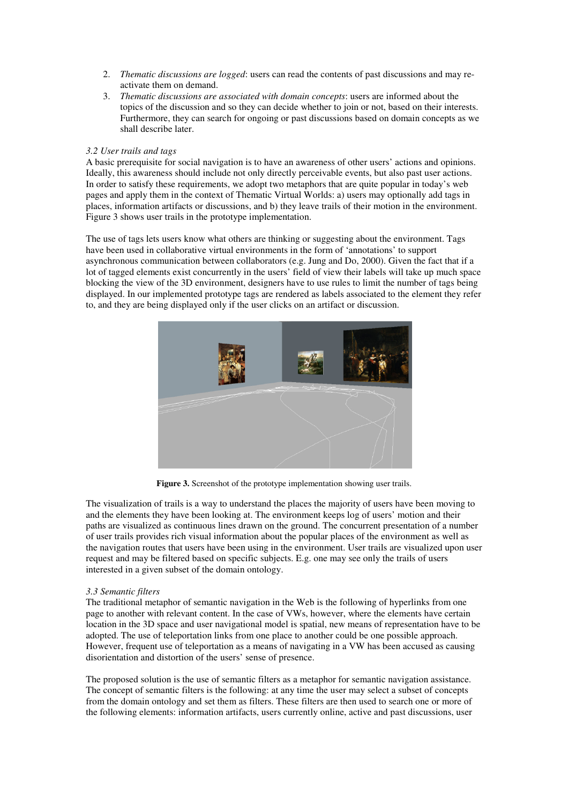- 2. *Thematic discussions are logged*: users can read the contents of past discussions and may reactivate them on demand.
- 3. *Thematic discussions are associated with domain concepts*: users are informed about the topics of the discussion and so they can decide whether to join or not, based on their interests. Furthermore, they can search for ongoing or past discussions based on domain concepts as we shall describe later.

## *3.2 User trails and tags*

A basic prerequisite for social navigation is to have an awareness of other users' actions and opinions. Ideally, this awareness should include not only directly perceivable events, but also past user actions. In order to satisfy these requirements, we adopt two metaphors that are quite popular in today's web pages and apply them in the context of Thematic Virtual Worlds: a) users may optionally add tags in places, information artifacts or discussions, and b) they leave trails of their motion in the environment. Figure 3 shows user trails in the prototype implementation.

The use of tags lets users know what others are thinking or suggesting about the environment. Tags have been used in collaborative virtual environments in the form of 'annotations' to support asynchronous communication between collaborators (e.g. Jung and Do, 2000). Given the fact that if a lot of tagged elements exist concurrently in the users' field of view their labels will take up much space blocking the view of the 3D environment, designers have to use rules to limit the number of tags being displayed. In our implemented prototype tags are rendered as labels associated to the element they refer to, and they are being displayed only if the user clicks on an artifact or discussion.



**Figure 3.** Screenshot of the prototype implementation showing user trails.

The visualization of trails is a way to understand the places the majority of users have been moving to and the elements they have been looking at. The environment keeps log of users' motion and their paths are visualized as continuous lines drawn on the ground. The concurrent presentation of a number of user trails provides rich visual information about the popular places of the environment as well as the navigation routes that users have been using in the environment. User trails are visualized upon user request and may be filtered based on specific subjects. E.g. one may see only the trails of users interested in a given subset of the domain ontology.

## *3.3 Semantic filters*

The traditional metaphor of semantic navigation in the Web is the following of hyperlinks from one page to another with relevant content. In the case of VWs, however, where the elements have certain location in the 3D space and user navigational model is spatial, new means of representation have to be adopted. The use of teleportation links from one place to another could be one possible approach. However, frequent use of teleportation as a means of navigating in a VW has been accused as causing disorientation and distortion of the users' sense of presence.

The proposed solution is the use of semantic filters as a metaphor for semantic navigation assistance. The concept of semantic filters is the following: at any time the user may select a subset of concepts from the domain ontology and set them as filters. These filters are then used to search one or more of the following elements: information artifacts, users currently online, active and past discussions, user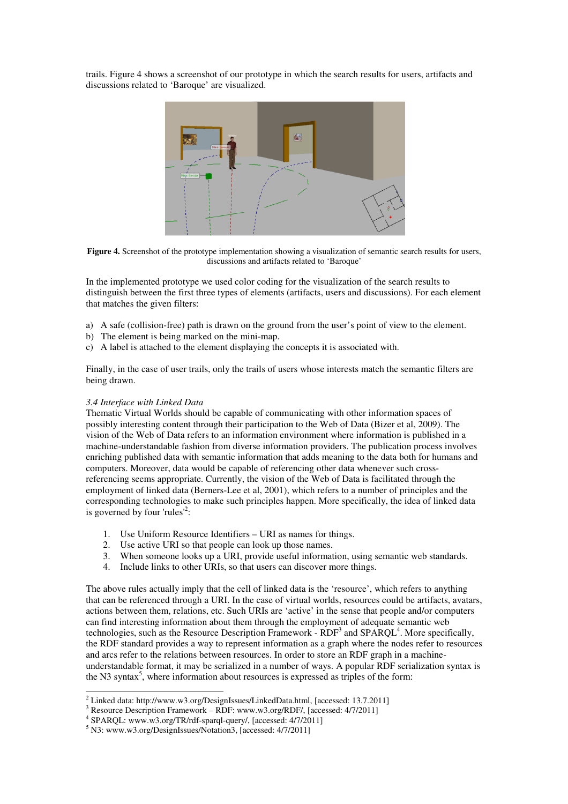trails. Figure 4 shows a screenshot of our prototype in which the search results for users, artifacts and discussions related to 'Baroque' are visualized.



**Figure 4.** Screenshot of the prototype implementation showing a visualization of semantic search results for users, discussions and artifacts related to 'Baroque'

In the implemented prototype we used color coding for the visualization of the search results to distinguish between the first three types of elements (artifacts, users and discussions). For each element that matches the given filters:

- a) A safe (collision-free) path is drawn on the ground from the user's point of view to the element.
- b) The element is being marked on the mini-map.
- c) A label is attached to the element displaying the concepts it is associated with.

Finally, in the case of user trails, only the trails of users whose interests match the semantic filters are being drawn.

## *3.4 Interface with Linked Data*

Thematic Virtual Worlds should be capable of communicating with other information spaces of possibly interesting content through their participation to the Web of Data (Bizer et al, 2009). The vision of the Web of Data refers to an information environment where information is published in a machine-understandable fashion from diverse information providers. The publication process involves enriching published data with semantic information that adds meaning to the data both for humans and computers. Moreover, data would be capable of referencing other data whenever such crossreferencing seems appropriate. Currently, the vision of the Web of Data is facilitated through the employment of linked data (Berners-Lee et al, 2001), which refers to a number of principles and the corresponding technologies to make such principles happen. More specifically, the idea of linked data is governed by four 'rules<sup>12</sup>:

- 1. Use Uniform Resource Identifiers URI as names for things.
- 2. Use active URI so that people can look up those names.
- 3. When someone looks up a URI, provide useful information, using semantic web standards.
- 4. Include links to other URIs, so that users can discover more things.

The above rules actually imply that the cell of linked data is the 'resource', which refers to anything that can be referenced through a URI. In the case of virtual worlds, resources could be artifacts, avatars, actions between them, relations, etc. Such URIs are 'active' in the sense that people and/or computers can find interesting information about them through the employment of adequate semantic web technologies, such as the Resource Description Framework -  $RDF<sup>3</sup>$  and  $SPARQL<sup>4</sup>$ . More specifically, the RDF standard provides a way to represent information as a graph where the nodes refer to resources and arcs refer to the relations between resources. In order to store an RDF graph in a machineunderstandable format, it may be serialized in a number of ways. A popular RDF serialization syntax is the N3 syntax<sup>5</sup>, where information about resources is expressed as triples of the form:

 2 Linked data: http://www.w3.org/DesignIssues/LinkedData.html, [accessed: 13.7.2011]

<sup>&</sup>lt;sup>3</sup> Resource Description Framework – RDF: www.w3.org/RDF/, [accessed:  $4/7/2011$ ]

<sup>4</sup> SPARQL: www.w3.org/TR/rdf-sparql-query/, [accessed: 4/7/2011]

<sup>5</sup> N3: www.w3.org/DesignIssues/Notation3, [accessed: 4/7/2011]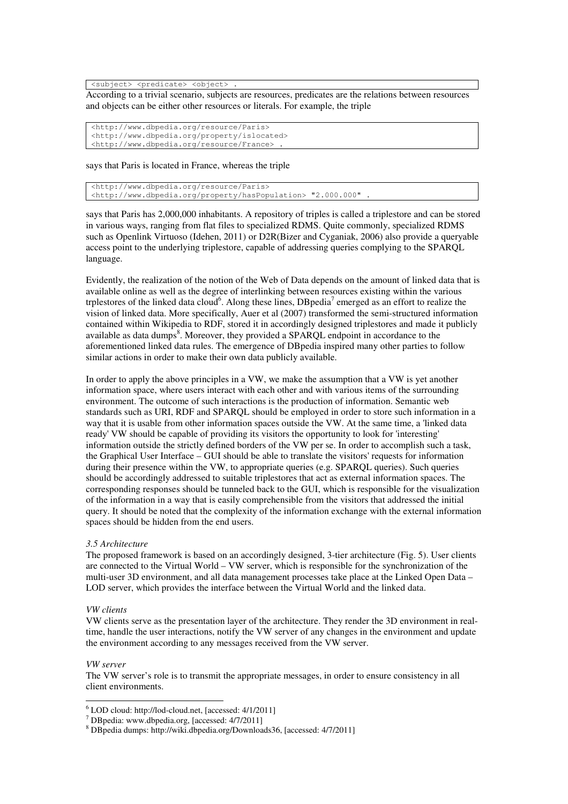<subject> <predicate> <object>

According to a trivial scenario, subjects are resources, predicates are the relations between resources and objects can be either other resources or literals. For example, the triple

```
<http://www.dbpedia.org/resource/Paris> 
<http://www.dbpedia.org/property/islocated> 
<http://www.dbpedia.org/resource/France> .
```
says that Paris is located in France, whereas the triple

<http://www.dbpedia.org/resource/Paris> <http://www.dbpedia.org/property/hasPopulation> "2.000.000" L,

says that Paris has 2,000,000 inhabitants. A repository of triples is called a triplestore and can be stored in various ways, ranging from flat files to specialized RDMS. Quite commonly, specialized RDMS such as Openlink Virtuoso (Idehen, 2011) or D2R(Bizer and Cyganiak, 2006) also provide a queryable access point to the underlying triplestore, capable of addressing queries complying to the SPARQL language.

Evidently, the realization of the notion of the Web of Data depends on the amount of linked data that is available online as well as the degree of interlinking between resources existing within the various trplestores of the linked data cloud<sup>6</sup>. Along these lines, DB pedia<sup>7</sup> emerged as an effort to realize the vision of linked data. More specifically, Auer et al (2007) transformed the semi-structured information contained within Wikipedia to RDF, stored it in accordingly designed triplestores and made it publicly available as data dumps $\delta$ . Moreover, they provided a SPARQL endpoint in accordance to the aforementioned linked data rules. The emergence of DBpedia inspired many other parties to follow similar actions in order to make their own data publicly available.

In order to apply the above principles in a VW, we make the assumption that a VW is yet another information space, where users interact with each other and with various items of the surrounding environment. The outcome of such interactions is the production of information. Semantic web standards such as URI, RDF and SPARQL should be employed in order to store such information in a way that it is usable from other information spaces outside the VW. At the same time, a 'linked data ready' VW should be capable of providing its visitors the opportunity to look for 'interesting' information outside the strictly defined borders of the VW per se. In order to accomplish such a task, the Graphical User Interface – GUI should be able to translate the visitors' requests for information during their presence within the VW, to appropriate queries (e.g. SPARQL queries). Such queries should be accordingly addressed to suitable triplestores that act as external information spaces. The corresponding responses should be tunneled back to the GUI, which is responsible for the visualization of the information in a way that is easily comprehensible from the visitors that addressed the initial query. It should be noted that the complexity of the information exchange with the external information spaces should be hidden from the end users.

#### *3.5 Architecture*

The proposed framework is based on an accordingly designed, 3-tier architecture (Fig. 5). User clients are connected to the Virtual World – VW server, which is responsible for the synchronization of the multi-user 3D environment, and all data management processes take place at the Linked Open Data – LOD server, which provides the interface between the Virtual World and the linked data.

## *VW clients*

VW clients serve as the presentation layer of the architecture. They render the 3D environment in realtime, handle the user interactions, notify the VW server of any changes in the environment and update the environment according to any messages received from the VW server.

#### *VW server*

The VW server's role is to transmit the appropriate messages, in order to ensure consistency in all client environments.

 6 LOD cloud: http://lod-cloud.net, [accessed: 4/1/2011]

<sup>7</sup> DBpedia: www.dbpedia.org, [accessed: 4/7/2011]

<sup>&</sup>lt;sup>8</sup> DBpedia dumps: http://wiki.dbpedia.org/Downloads36, [accessed: 4/7/2011]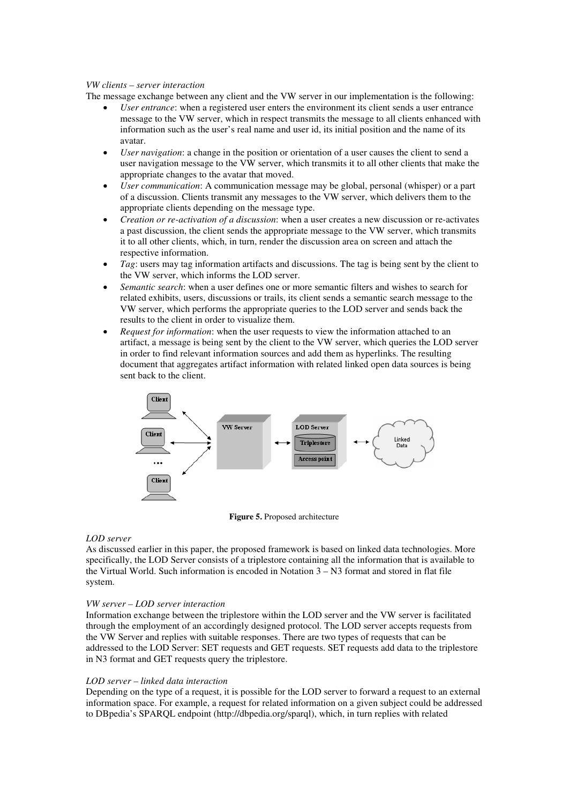## *VW clients – server interaction*

The message exchange between any client and the VW server in our implementation is the following:

- *User entrance*: when a registered user enters the environment its client sends a user entrance message to the VW server, which in respect transmits the message to all clients enhanced with information such as the user's real name and user id, its initial position and the name of its avatar.
- *User navigation*: a change in the position or orientation of a user causes the client to send a user navigation message to the VW server, which transmits it to all other clients that make the appropriate changes to the avatar that moved.
- *User communication*: A communication message may be global, personal (whisper) or a part of a discussion. Clients transmit any messages to the VW server, which delivers them to the appropriate clients depending on the message type.
- *Creation or re-activation of a discussion*: when a user creates a new discussion or re-activates a past discussion, the client sends the appropriate message to the VW server, which transmits it to all other clients, which, in turn, render the discussion area on screen and attach the respective information.
- *Tag*: users may tag information artifacts and discussions. The tag is being sent by the client to the VW server, which informs the LOD server.
- *Semantic search*: when a user defines one or more semantic filters and wishes to search for related exhibits, users, discussions or trails, its client sends a semantic search message to the VW server, which performs the appropriate queries to the LOD server and sends back the results to the client in order to visualize them.
- *Request for information*: when the user requests to view the information attached to an artifact, a message is being sent by the client to the VW server, which queries the LOD server in order to find relevant information sources and add them as hyperlinks. The resulting document that aggregates artifact information with related linked open data sources is being sent back to the client.



**Figure 5.** Proposed architecture

### *LOD server*

As discussed earlier in this paper, the proposed framework is based on linked data technologies. More specifically, the LOD Server consists of a triplestore containing all the information that is available to the Virtual World. Such information is encoded in Notation 3 – N3 format and stored in flat file system.

## *VW server – LOD server interaction*

Information exchange between the triplestore within the LOD server and the VW server is facilitated through the employment of an accordingly designed protocol. The LOD server accepts requests from the VW Server and replies with suitable responses. There are two types of requests that can be addressed to the LOD Server: SET requests and GET requests. SET requests add data to the triplestore in N3 format and GET requests query the triplestore.

### *LOD server – linked data interaction*

Depending on the type of a request, it is possible for the LOD server to forward a request to an external information space. For example, a request for related information on a given subject could be addressed to DBpedia's SPARQL endpoint (http://dbpedia.org/sparql), which, in turn replies with related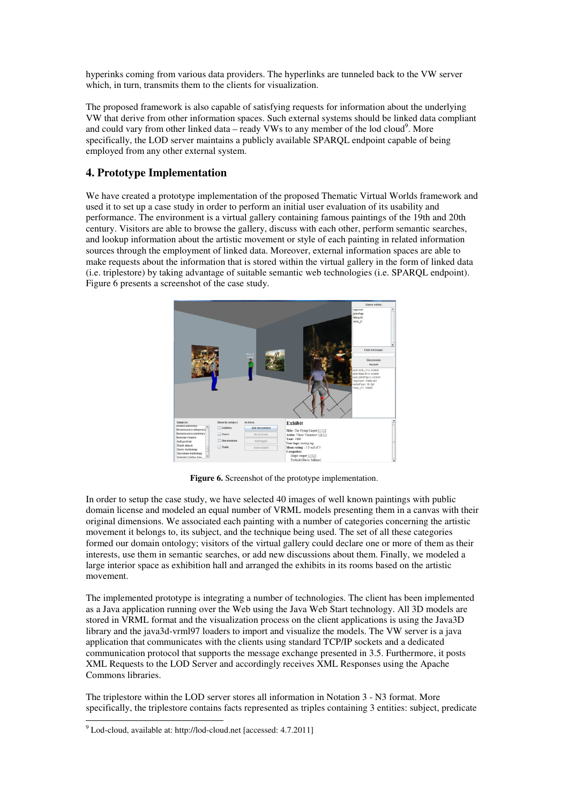hyperinks coming from various data providers. The hyperlinks are tunneled back to the VW server which, in turn, transmits them to the clients for visualization.

The proposed framework is also capable of satisfying requests for information about the underlying VW that derive from other information spaces. Such external systems should be linked data compliant and could vary from other linked data – ready VWs to any member of the lod cloud<sup>9</sup>. More specifically, the LOD server maintains a publicly available SPARQL endpoint capable of being employed from any other external system.

## **4. Prototype Implementation**

We have created a prototype implementation of the proposed Thematic Virtual Worlds framework and used it to set up a case study in order to perform an initial user evaluation of its usability and performance. The environment is a virtual gallery containing famous paintings of the 19th and 20th century. Visitors are able to browse the gallery, discuss with each other, perform semantic searches, and lookup information about the artistic movement or style of each painting in related information sources through the employment of linked data. Moreover, external information spaces are able to make requests about the information that is stored within the virtual gallery in the form of linked data (i.e. triplestore) by taking advantage of suitable semantic web technologies (i.e. SPARQL endpoint). Figure 6 presents a screenshot of the case study.



Figure 6. Screenshot of the prototype implementation.

In order to setup the case study, we have selected 40 images of well known paintings with public domain license and modeled an equal number of VRML models presenting them in a canvas with their original dimensions. We associated each painting with a number of categories concerning the artistic movement it belongs to, its subject, and the technique being used. The set of all these categories formed our domain ontology; visitors of the virtual gallery could declare one or more of them as their interests, use them in semantic searches, or add new discussions about them. Finally, we modeled a large interior space as exhibition hall and arranged the exhibits in its rooms based on the artistic movement.

The implemented prototype is integrating a number of technologies. The client has been implemented as a Java application running over the Web using the Java Web Start technology. All 3D models are stored in VRML format and the visualization process on the client applications is using the Java3D library and the java3d-vrml97 loaders to import and visualize the models. The VW server is a java application that communicates with the clients using standard TCP/IP sockets and a dedicated communication protocol that supports the message exchange presented in 3.5. Furthermore, it posts XML Requests to the LOD Server and accordingly receives XML Responses using the Apache Commons libraries.

The triplestore within the LOD server stores all information in Notation 3 - N3 format. More specifically, the triplestore contains facts represented as triples containing 3 entities: subject, predicate

 $\overline{a}$ 

<sup>&</sup>lt;sup>9</sup> Lod-cloud, available at: http://lod-cloud.net [accessed: 4.7.2011]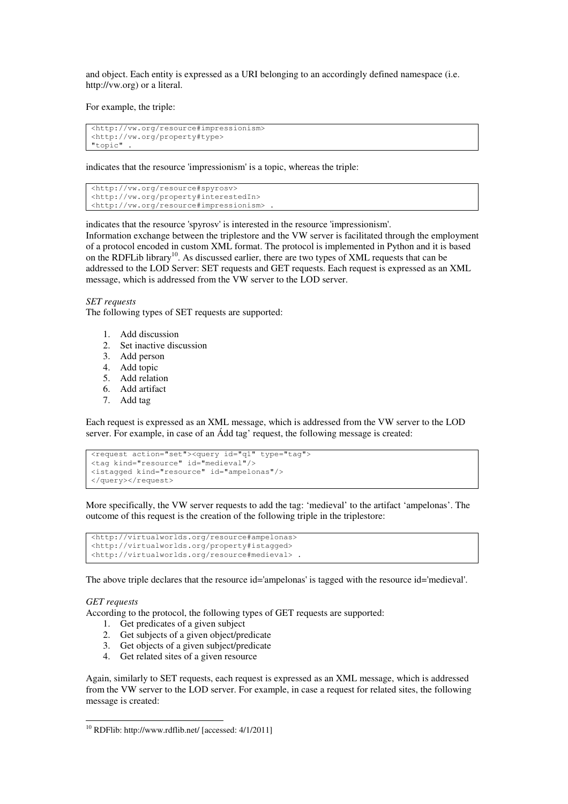and object. Each entity is expressed as a URI belonging to an accordingly defined namespace (i.e. http://vw.org) or a literal.

For example, the triple:

```
<http://vw.org/resource#impressionism> 
<http://vw.org/property#type> 
"topic"
```
indicates that the resource 'impressionism' is a topic, whereas the triple:

```
<http://vw.org/resource#spyrosv> 
<http://vw.org/property#interestedIn> 
<http://vw.org/resource#impressionism> .
```
indicates that the resource 'spyrosv' is interested in the resource 'impressionism'.

Information exchange between the triplestore and the VW server is facilitated through the employment of a protocol encoded in custom XML format. The protocol is implemented in Python and it is based on the RDFLib library<sup>10</sup>. As discussed earlier, there are two types of XML requests that can be addressed to the LOD Server: SET requests and GET requests. Each request is expressed as an XML message, which is addressed from the VW server to the LOD server.

*SET requests* 

The following types of SET requests are supported:

- 1. Add discussion
- 2. Set inactive discussion
- 3. Add person
- 4. Add topic
- 5. Add relation
- 6. Add artifact
- 7. Add tag

Each request is expressed as an XML message, which is addressed from the VW server to the LOD server. For example, in case of an Ádd tag' request, the following message is created:

```
<request action="set"><query id="q1" type="tag"> 
<tag kind="resource" id="medieval"/> 
<istagged kind="resource" id="ampelonas"/> 
</query></request>
```
More specifically, the VW server requests to add the tag: 'medieval' to the artifact 'ampelonas'. The outcome of this request is the creation of the following triple in the triplestore:

```
<http://virtualworlds.org/resource#ampelonas> 
<http://virtualworlds.org/property#istagged> 
<http://virtualworlds.org/resource#medieval> .
```
The above triple declares that the resource id='ampelonas' is tagged with the resource id='medieval'.

### *GET requests*

 $\overline{a}$ 

According to the protocol, the following types of GET requests are supported:

- 1. Get predicates of a given subject
- 2. Get subjects of a given object/predicate
- 3. Get objects of a given subject/predicate
- 4. Get related sites of a given resource

Again, similarly to SET requests, each request is expressed as an XML message, which is addressed from the VW server to the LOD server. For example, in case a request for related sites, the following message is created:

<sup>10</sup> RDFlib: http://www.rdflib.net/ [accessed: 4/1/2011]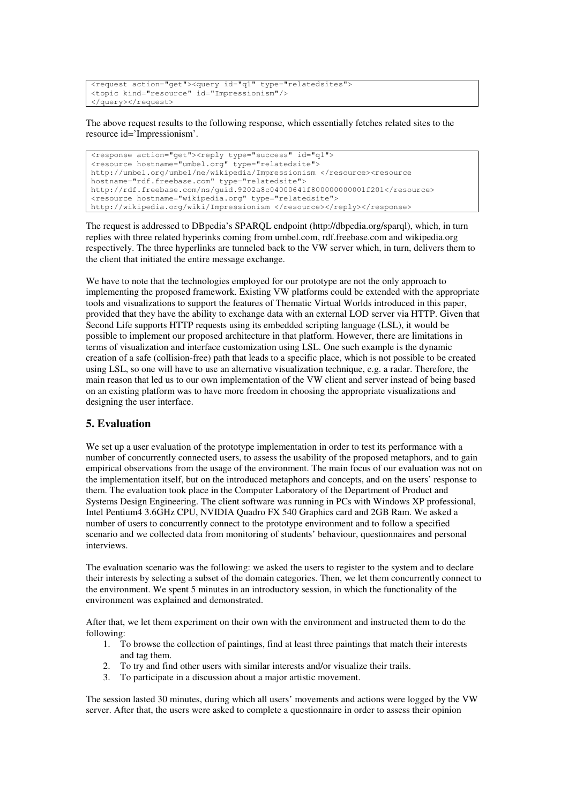```
<request action="get"><query id="q1" type="relatedsites"> 
<topic kind="resource" id="Impressionism"/> 
</query></request>
```
The above request results to the following response, which essentially fetches related sites to the resource id='Impressionism'.

```
<response action="get"><reply type="success" id="q1"> 
<resource hostname="umbel.org" type="relatedsite"> 
http://umbel.org/umbel/ne/wikipedia/Impressionism </resource><resource 
hostname="rdf.freebase.com" type="relatedsite"> 
http://rdf.freebase.com/ns/guid.9202a8c04000641f800000000001f201</resource> 
<resource hostname="wikipedia.org" type="relatedsite"> 
http://wikipedia.org/wiki/Impressionism </resource></reply></response>
```
The request is addressed to DBpedia's SPARQL endpoint (http://dbpedia.org/sparql), which, in turn replies with three related hyperinks coming from umbel.com, rdf.freebase.com and wikipedia.org respectively. The three hyperlinks are tunneled back to the VW server which, in turn, delivers them to the client that initiated the entire message exchange.

We have to note that the technologies employed for our prototype are not the only approach to implementing the proposed framework. Existing VW platforms could be extended with the appropriate tools and visualizations to support the features of Thematic Virtual Worlds introduced in this paper, provided that they have the ability to exchange data with an external LOD server via HTTP. Given that Second Life supports HTTP requests using its embedded scripting language (LSL), it would be possible to implement our proposed architecture in that platform. However, there are limitations in terms of visualization and interface customization using LSL. One such example is the dynamic creation of a safe (collision-free) path that leads to a specific place, which is not possible to be created using LSL, so one will have to use an alternative visualization technique, e.g. a radar. Therefore, the main reason that led us to our own implementation of the VW client and server instead of being based on an existing platform was to have more freedom in choosing the appropriate visualizations and designing the user interface.

## **5. Evaluation**

We set up a user evaluation of the prototype implementation in order to test its performance with a number of concurrently connected users, to assess the usability of the proposed metaphors, and to gain empirical observations from the usage of the environment. The main focus of our evaluation was not on the implementation itself, but on the introduced metaphors and concepts, and on the users' response to them. The evaluation took place in the Computer Laboratory of the Department of Product and Systems Design Engineering. The client software was running in PCs with Windows XP professional, Intel Pentium4 3.6GHz CPU, NVIDIA Quadro FX 540 Graphics card and 2GB Ram. We asked a number of users to concurrently connect to the prototype environment and to follow a specified scenario and we collected data from monitoring of students' behaviour, questionnaires and personal interviews.

The evaluation scenario was the following: we asked the users to register to the system and to declare their interests by selecting a subset of the domain categories. Then, we let them concurrently connect to the environment. We spent 5 minutes in an introductory session, in which the functionality of the environment was explained and demonstrated.

After that, we let them experiment on their own with the environment and instructed them to do the following:

- 1. To browse the collection of paintings, find at least three paintings that match their interests and tag them.
- 2. To try and find other users with similar interests and/or visualize their trails.
- 3. To participate in a discussion about a major artistic movement.

The session lasted 30 minutes, during which all users' movements and actions were logged by the VW server. After that, the users were asked to complete a questionnaire in order to assess their opinion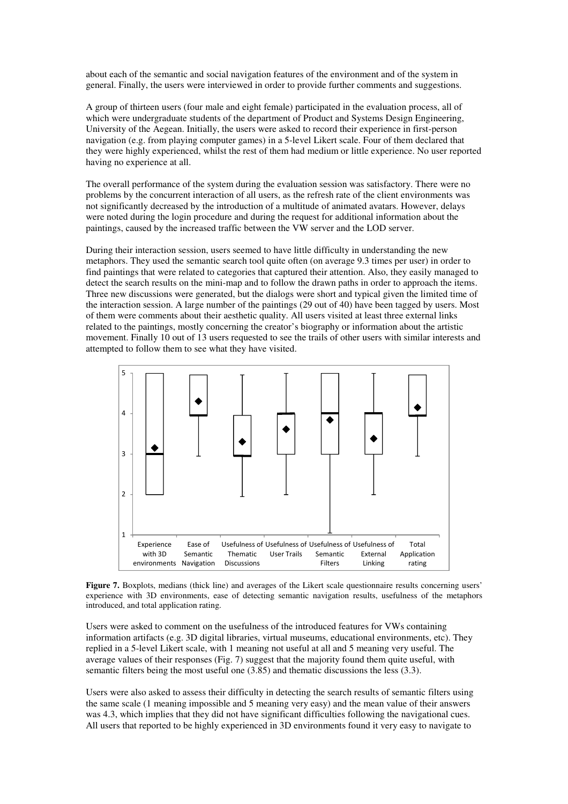about each of the semantic and social navigation features of the environment and of the system in general. Finally, the users were interviewed in order to provide further comments and suggestions.

A group of thirteen users (four male and eight female) participated in the evaluation process, all of which were undergraduate students of the department of Product and Systems Design Engineering, University of the Aegean. Initially, the users were asked to record their experience in first-person navigation (e.g. from playing computer games) in a 5-level Likert scale. Four of them declared that they were highly experienced, whilst the rest of them had medium or little experience. No user reported having no experience at all.

The overall performance of the system during the evaluation session was satisfactory. There were no problems by the concurrent interaction of all users, as the refresh rate of the client environments was not significantly decreased by the introduction of a multitude of animated avatars. However, delays were noted during the login procedure and during the request for additional information about the paintings, caused by the increased traffic between the VW server and the LOD server.

During their interaction session, users seemed to have little difficulty in understanding the new metaphors. They used the semantic search tool quite often (on average 9.3 times per user) in order to find paintings that were related to categories that captured their attention. Also, they easily managed to detect the search results on the mini-map and to follow the drawn paths in order to approach the items. Three new discussions were generated, but the dialogs were short and typical given the limited time of the interaction session. A large number of the paintings (29 out of 40) have been tagged by users. Most of them were comments about their aesthetic quality. All users visited at least three external links related to the paintings, mostly concerning the creator's biography or information about the artistic movement. Finally 10 out of 13 users requested to see the trails of other users with similar interests and attempted to follow them to see what they have visited.



**Figure 7.** Boxplots, medians (thick line) and averages of the Likert scale questionnaire results concerning users' experience with 3D environments, ease of detecting semantic navigation results, usefulness of the metaphors introduced, and total application rating.

Users were asked to comment on the usefulness of the introduced features for VWs containing information artifacts (e.g. 3D digital libraries, virtual museums, educational environments, etc). They replied in a 5-level Likert scale, with 1 meaning not useful at all and 5 meaning very useful. The average values of their responses (Fig. 7) suggest that the majority found them quite useful, with semantic filters being the most useful one (3.85) and thematic discussions the less (3.3).

Users were also asked to assess their difficulty in detecting the search results of semantic filters using the same scale (1 meaning impossible and 5 meaning very easy) and the mean value of their answers was 4.3, which implies that they did not have significant difficulties following the navigational cues. All users that reported to be highly experienced in 3D environments found it very easy to navigate to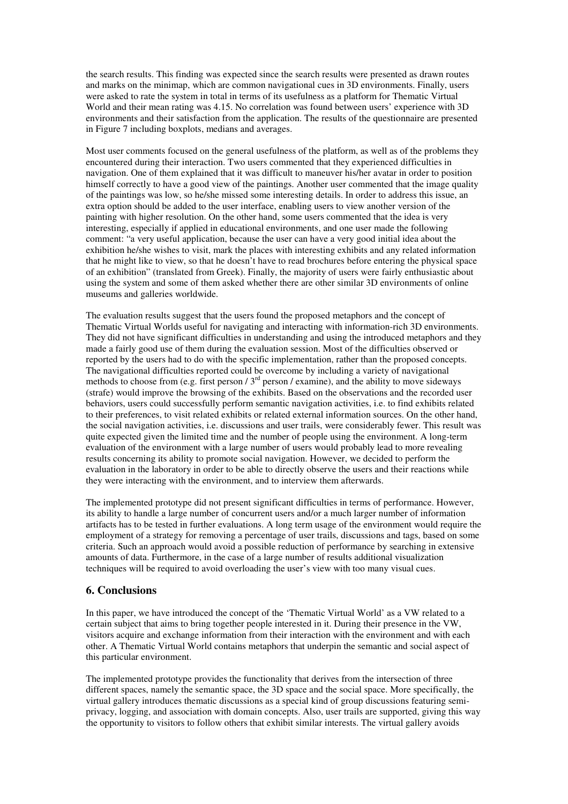the search results. This finding was expected since the search results were presented as drawn routes and marks on the minimap, which are common navigational cues in 3D environments. Finally, users were asked to rate the system in total in terms of its usefulness as a platform for Thematic Virtual World and their mean rating was 4.15. No correlation was found between users' experience with 3D environments and their satisfaction from the application. The results of the questionnaire are presented in Figure 7 including boxplots, medians and averages.

Most user comments focused on the general usefulness of the platform, as well as of the problems they encountered during their interaction. Two users commented that they experienced difficulties in navigation. One of them explained that it was difficult to maneuver his/her avatar in order to position himself correctly to have a good view of the paintings. Another user commented that the image quality of the paintings was low, so he/she missed some interesting details. In order to address this issue, an extra option should be added to the user interface, enabling users to view another version of the painting with higher resolution. On the other hand, some users commented that the idea is very interesting, especially if applied in educational environments, and one user made the following comment: "a very useful application, because the user can have a very good initial idea about the exhibition he/she wishes to visit, mark the places with interesting exhibits and any related information that he might like to view, so that he doesn't have to read brochures before entering the physical space of an exhibition" (translated from Greek). Finally, the majority of users were fairly enthusiastic about using the system and some of them asked whether there are other similar 3D environments of online museums and galleries worldwide.

The evaluation results suggest that the users found the proposed metaphors and the concept of Thematic Virtual Worlds useful for navigating and interacting with information-rich 3D environments. They did not have significant difficulties in understanding and using the introduced metaphors and they made a fairly good use of them during the evaluation session. Most of the difficulties observed or reported by the users had to do with the specific implementation, rather than the proposed concepts. The navigational difficulties reported could be overcome by including a variety of navigational methods to choose from (e.g. first person / 3<sup>rd</sup> person / examine), and the ability to move sideways (strafe) would improve the browsing of the exhibits. Based on the observations and the recorded user behaviors, users could successfully perform semantic navigation activities, i.e. to find exhibits related to their preferences, to visit related exhibits or related external information sources. On the other hand, the social navigation activities, i.e. discussions and user trails, were considerably fewer. This result was quite expected given the limited time and the number of people using the environment. A long-term evaluation of the environment with a large number of users would probably lead to more revealing results concerning its ability to promote social navigation. However, we decided to perform the evaluation in the laboratory in order to be able to directly observe the users and their reactions while they were interacting with the environment, and to interview them afterwards.

The implemented prototype did not present significant difficulties in terms of performance. However, its ability to handle a large number of concurrent users and/or a much larger number of information artifacts has to be tested in further evaluations. A long term usage of the environment would require the employment of a strategy for removing a percentage of user trails, discussions and tags, based on some criteria. Such an approach would avoid a possible reduction of performance by searching in extensive amounts of data. Furthermore, in the case of a large number of results additional visualization techniques will be required to avoid overloading the user's view with too many visual cues.

## **6. Conclusions**

In this paper, we have introduced the concept of the 'Thematic Virtual World' as a VW related to a certain subject that aims to bring together people interested in it. During their presence in the VW, visitors acquire and exchange information from their interaction with the environment and with each other. A Thematic Virtual World contains metaphors that underpin the semantic and social aspect of this particular environment.

The implemented prototype provides the functionality that derives from the intersection of three different spaces, namely the semantic space, the 3D space and the social space. More specifically, the virtual gallery introduces thematic discussions as a special kind of group discussions featuring semiprivacy, logging, and association with domain concepts. Also, user trails are supported, giving this way the opportunity to visitors to follow others that exhibit similar interests. The virtual gallery avoids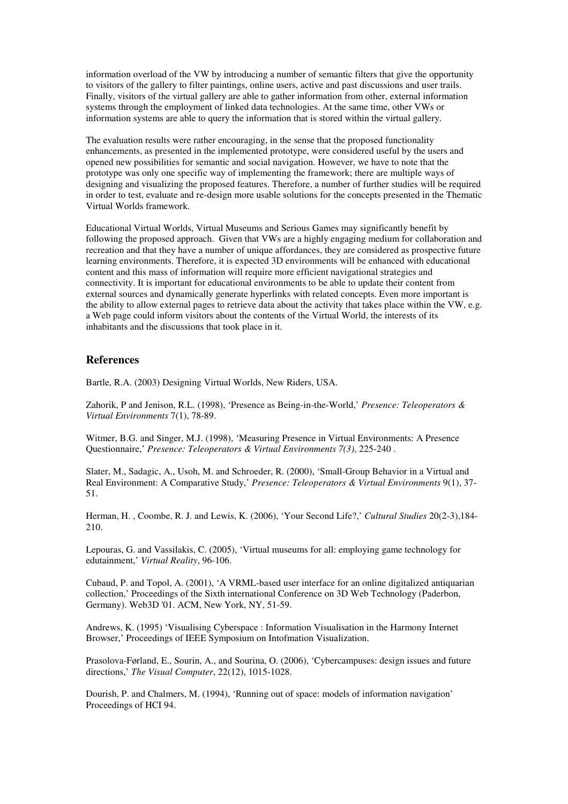information overload of the VW by introducing a number of semantic filters that give the opportunity to visitors of the gallery to filter paintings, online users, active and past discussions and user trails. Finally, visitors of the virtual gallery are able to gather information from other, external information systems through the employment of linked data technologies. At the same time, other VWs or information systems are able to query the information that is stored within the virtual gallery.

The evaluation results were rather encouraging, in the sense that the proposed functionality enhancements, as presented in the implemented prototype, were considered useful by the users and opened new possibilities for semantic and social navigation. However, we have to note that the prototype was only one specific way of implementing the framework; there are multiple ways of designing and visualizing the proposed features. Therefore, a number of further studies will be required in order to test, evaluate and re-design more usable solutions for the concepts presented in the Thematic Virtual Worlds framework.

Educational Virtual Worlds, Virtual Museums and Serious Games may significantly benefit by following the proposed approach. Given that VWs are a highly engaging medium for collaboration and recreation and that they have a number of unique affordances, they are considered as prospective future learning environments. Therefore, it is expected 3D environments will be enhanced with educational content and this mass of information will require more efficient navigational strategies and connectivity. It is important for educational environments to be able to update their content from external sources and dynamically generate hyperlinks with related concepts. Even more important is the ability to allow external pages to retrieve data about the activity that takes place within the VW, e.g. a Web page could inform visitors about the contents of the Virtual World, the interests of its inhabitants and the discussions that took place in it.

## **References**

Bartle, R.A. (2003) Designing Virtual Worlds, New Riders, USA.

Zahorik, P and Jenison, R.L. (1998), 'Presence as Being-in-the-World,' *Presence: Teleoperators & Virtual Environments* 7(1), 78-89.

Witmer, B.G. and Singer, M.J. (1998), 'Measuring Presence in Virtual Environments: A Presence Questionnaire,' *Presence: Teleoperators & Virtual Environments 7(3)*, 225-240 .

Slater, M., Sadagic, A., Usoh, M. and Schroeder, R. (2000), 'Small-Group Behavior in a Virtual and Real Environment: A Comparative Study,' *Presence: Teleoperators & Virtual Environments* 9(1), 37- 51.

Herman, H. , Coombe, R. J. and Lewis, K. (2006), 'Your Second Life?,' *Cultural Studies* 20(2-3),184- 210.

Lepouras, G. and Vassilakis, C. (2005), 'Virtual museums for all: employing game technology for edutainment,' *Virtual Reality*, 96-106.

Cubaud, P. and Topol, A. (2001), 'A VRML-based user interface for an online digitalized antiquarian collection,' Proceedings of the Sixth international Conference on 3D Web Technology (Paderbon, Germany). Web3D '01. ACM, New York, NY, 51-59.

Andrews, K. (1995) 'Visualising Cyberspace : Information Visualisation in the Harmony Internet Browser,' Proceedings of IEEE Symposium on Intofmation Visualization.

Prasolova-Førland, E., Sourin, A., and Sourina, O. (2006), 'Cybercampuses: design issues and future directions,' *The Visual Computer*, 22(12), 1015-1028.

Dourish, P. and Chalmers, M. (1994), 'Running out of space: models of information navigation' Proceedings of HCI 94.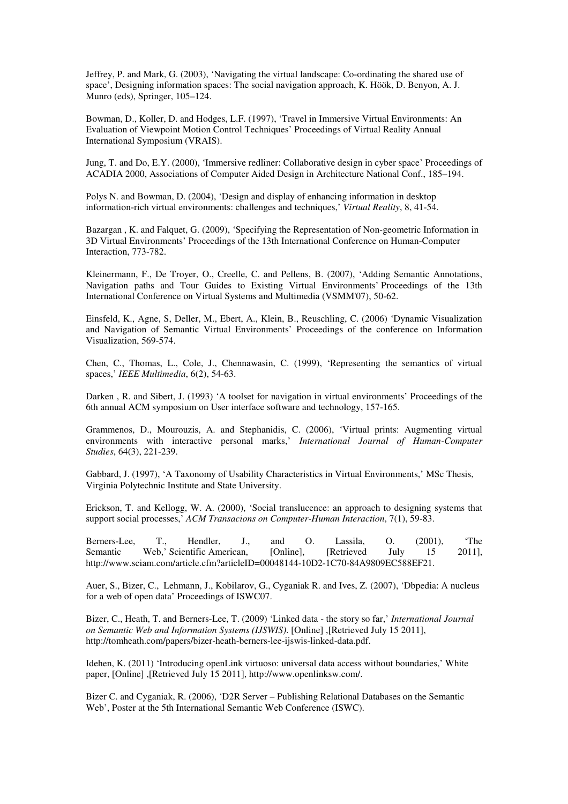Jeffrey, P. and Mark, G. (2003), 'Navigating the virtual landscape: Co-ordinating the shared use of space', Designing information spaces: The social navigation approach, K. Höök, D. Benyon, A. J. Munro (eds), Springer, 105–124.

Bowman, D., Koller, D. and Hodges, L.F. (1997), 'Travel in Immersive Virtual Environments: An Evaluation of Viewpoint Motion Control Techniques' Proceedings of Virtual Reality Annual International Symposium (VRAIS).

Jung, T. and Do, E.Y. (2000), 'Immersive redliner: Collaborative design in cyber space' Proceedings of ACADIA 2000, Associations of Computer Aided Design in Architecture National Conf., 185–194.

Polys N. and Bowman, D. (2004), 'Design and display of enhancing information in desktop information-rich virtual environments: challenges and techniques,' *Virtual Reality*, 8, 41-54.

Bazargan , K. and Falquet, G. (2009), 'Specifying the Representation of Non-geometric Information in 3D Virtual Environments' Proceedings of the 13th International Conference on Human-Computer Interaction, 773-782.

Kleinermann, F., De Troyer, O., Creelle, C. and Pellens, B. (2007), 'Adding Semantic Annotations, Navigation paths and Tour Guides to Existing Virtual Environments' Proceedings of the 13th International Conference on Virtual Systems and Multimedia (VSMM'07), 50-62.

Einsfeld, K., Agne, S, Deller, M., Ebert, A., Klein, B., Reuschling, C. (2006) 'Dynamic Visualization and Navigation of Semantic Virtual Environments' Proceedings of the conference on Information Visualization, 569-574.

Chen, C., Thomas, L., Cole, J., Chennawasin, C. (1999), 'Representing the semantics of virtual spaces,' *IEEE Multimedia*, 6(2), 54-63.

Darken , R. and Sibert, J. (1993) 'A toolset for navigation in virtual environments' Proceedings of the 6th annual ACM symposium on User interface software and technology, 157-165.

Grammenos, D., Mourouzis, A. and Stephanidis, C. (2006), 'Virtual prints: Augmenting virtual environments with interactive personal marks,' *International Journal of Human-Computer Studies*, 64(3), 221-239.

Gabbard, J. (1997), 'A Taxonomy of Usability Characteristics in Virtual Environments,' MSc Thesis, Virginia Polytechnic Institute and State University.

Erickson, T. and Kellogg, W. A. (2000), 'Social translucence: an approach to designing systems that support social processes,' *ACM Transacions on Computer-Human Interaction*, 7(1), 59-83.

Berners-Lee, T., Hendler, J., and O. Lassila, O. (2001), 'The Semantic Web,' Scientific American, [Online], [Retrieved July 15 2011], http://www.sciam.com/article.cfm?articleID=00048144-10D2-1C70-84A9809EC588EF21.

Auer, S., Bizer, C., Lehmann, J., Kobilarov, G., Cyganiak R. and Ives, Z. (2007), 'Dbpedia: A nucleus for a web of open data' Proceedings of ISWC07.

Bizer, C., Heath, T. and Berners-Lee, T. (2009) 'Linked data - the story so far,' *International Journal on Semantic Web and Information Systems (IJSWIS)*. [Online] ,[Retrieved July 15 2011], http://tomheath.com/papers/bizer-heath-berners-lee-ijswis-linked-data.pdf.

Idehen, K. (2011) 'Introducing openLink virtuoso: universal data access without boundaries,' White paper, [Online] ,[Retrieved July 15 2011], http://www.openlinksw.com/.

Bizer C. and Cyganiak, R. (2006), 'D2R Server – Publishing Relational Databases on the Semantic Web', Poster at the 5th International Semantic Web Conference (ISWC).